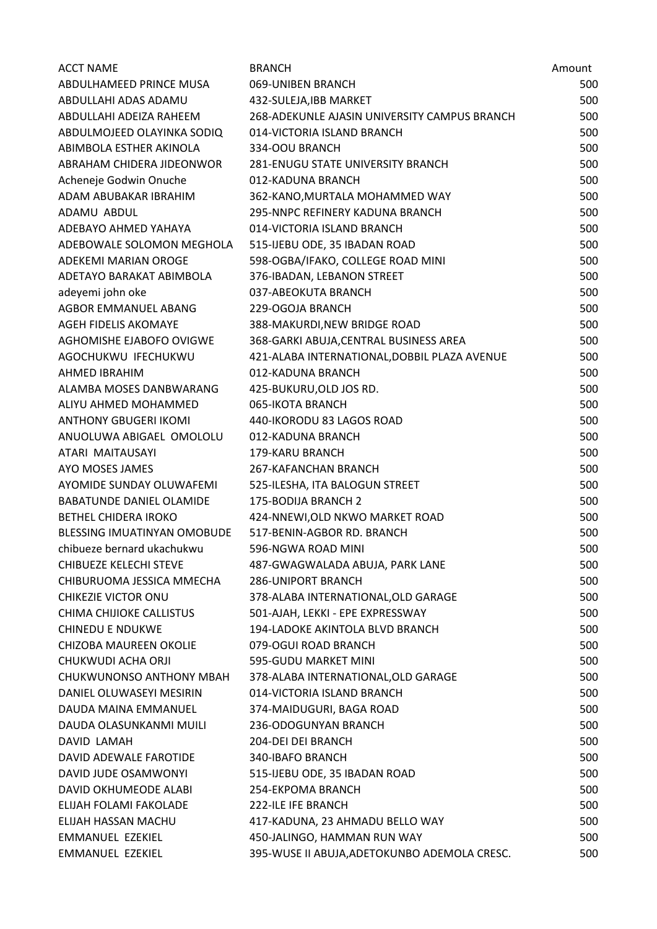| <b>ACCT NAME</b>              | <b>BRANCH</b>                                                  | Amount     |
|-------------------------------|----------------------------------------------------------------|------------|
| ABDULHAMEED PRINCE MUSA       | 069-UNIBEN BRANCH                                              | 500        |
| ABDULLAHI ADAS ADAMU          | 432-SULEJA, IBB MARKET                                         | 500        |
| ABDULLAHI ADEIZA RAHEEM       | 268-ADEKUNLE AJASIN UNIVERSITY CAMPUS BRANCH                   | 500        |
| ABDULMOJEED OLAYINKA SODIQ    | 014-VICTORIA ISLAND BRANCH                                     | 500        |
| ABIMBOLA ESTHER AKINOLA       | 334-OOU BRANCH                                                 | 500        |
| ABRAHAM CHIDERA JIDEONWOR     | 281-ENUGU STATE UNIVERSITY BRANCH                              | 500        |
| Acheneje Godwin Onuche        | 012-KADUNA BRANCH                                              | 500        |
| ADAM ABUBAKAR IBRAHIM         | 362-KANO, MURTALA MOHAMMED WAY                                 | 500        |
| ADAMU ABDUL                   | 295-NNPC REFINERY KADUNA BRANCH                                | 500        |
| ADEBAYO AHMED YAHAYA          | 014-VICTORIA ISLAND BRANCH                                     | 500        |
| ADEBOWALE SOLOMON MEGHOLA     | 515-IJEBU ODE, 35 IBADAN ROAD                                  | 500        |
| ADEKEMI MARIAN OROGE          | 598-OGBA/IFAKO, COLLEGE ROAD MINI                              | 500        |
| ADETAYO BARAKAT ABIMBOLA      | 376-IBADAN, LEBANON STREET                                     | 500        |
| adeyemi john oke              | 037-ABEOKUTA BRANCH                                            | 500        |
| AGBOR EMMANUEL ABANG          | 229-OGOJA BRANCH                                               | 500        |
| AGEH FIDELIS AKOMAYE          | 388-MAKURDI, NEW BRIDGE ROAD                                   | 500        |
| AGHOMISHE EJABOFO OVIGWE      | 368-GARKI ABUJA, CENTRAL BUSINESS AREA                         | 500        |
| AGOCHUKWU IFECHUKWU           | 421-ALABA INTERNATIONAL, DOBBIL PLAZA AVENUE                   | 500        |
| AHMED IBRAHIM                 | 012-KADUNA BRANCH                                              | 500        |
| ALAMBA MOSES DANBWARANG       | 425-BUKURU, OLD JOS RD.                                        | 500        |
| ALIYU AHMED MOHAMMED          | 065-IKOTA BRANCH                                               | 500        |
| ANTHONY GBUGERI IKOMI         | 440-IKORODU 83 LAGOS ROAD                                      | 500        |
| ANUOLUWA ABIGAEL OMOLOLU      | 012-KADUNA BRANCH                                              | 500        |
| ATARI MAITAUSAYI              | 179-KARU BRANCH                                                | 500        |
| AYO MOSES JAMES               | 267-KAFANCHAN BRANCH                                           | 500        |
| AYOMIDE SUNDAY OLUWAFEMI      | 525-ILESHA, ITA BALOGUN STREET                                 | 500        |
| BABATUNDE DANIEL OLAMIDE      | 175-BODIJA BRANCH 2                                            | 500        |
| <b>BETHEL CHIDERA IROKO</b>   | 424-NNEWI, OLD NKWO MARKET ROAD                                | 500        |
| BLESSING IMUATINYAN OMOBUDE   | 517-BENIN-AGBOR RD. BRANCH                                     | 500        |
| chibueze bernard ukachukwu    | 596-NGWA ROAD MINI                                             | 500        |
| CHIBUEZE KELECHI STEVE        | 487-GWAGWALADA ABUJA, PARK LANE                                | 500        |
| CHIBURUOMA JESSICA MMECHA     | <b>286-UNIPORT BRANCH</b>                                      | 500        |
| CHIKEZIE VICTOR ONU           | 378-ALABA INTERNATIONAL, OLD GARAGE                            | 500        |
| CHIMA CHIJIOKE CALLISTUS      | 501-AJAH, LEKKI - EPE EXPRESSWAY                               | 500        |
| <b>CHINEDU E NDUKWE</b>       | 194-LADOKE AKINTOLA BLVD BRANCH                                | 500        |
| <b>CHIZOBA MAUREEN OKOLIE</b> | 079-OGUI ROAD BRANCH                                           | 500        |
| CHUKWUDI ACHA ORJI            | 595-GUDU MARKET MINI                                           | 500        |
| CHUKWUNONSO ANTHONY MBAH      | 378-ALABA INTERNATIONAL, OLD GARAGE                            | 500        |
| DANIEL OLUWASEYI MESIRIN      | 014-VICTORIA ISLAND BRANCH                                     | 500        |
| DAUDA MAINA EMMANUEL          | 374-MAIDUGURI, BAGA ROAD                                       | 500        |
| DAUDA OLASUNKANMI MUILI       | 236-ODOGUNYAN BRANCH                                           | 500        |
| DAVID LAMAH                   | 204-DEI DEI BRANCH                                             | 500        |
| DAVID ADEWALE FAROTIDE        | 340-IBAFO BRANCH                                               | 500        |
| DAVID JUDE OSAMWONYI          | 515-IJEBU ODE, 35 IBADAN ROAD                                  | 500        |
| DAVID OKHUMEODE ALABI         | 254-EKPOMA BRANCH                                              | 500        |
| ELIJAH FOLAMI FAKOLADE        | <b>222-ILE IFE BRANCH</b>                                      | 500        |
| ELIJAH HASSAN MACHU           |                                                                |            |
| EMMANUEL EZEKIEL              | 417-KADUNA, 23 AHMADU BELLO WAY<br>450-JALINGO, HAMMAN RUN WAY | 500<br>500 |
|                               |                                                                |            |
| EMMANUEL EZEKIEL              | 395-WUSE II ABUJA, ADETOKUNBO ADEMOLA CRESC.                   | 500        |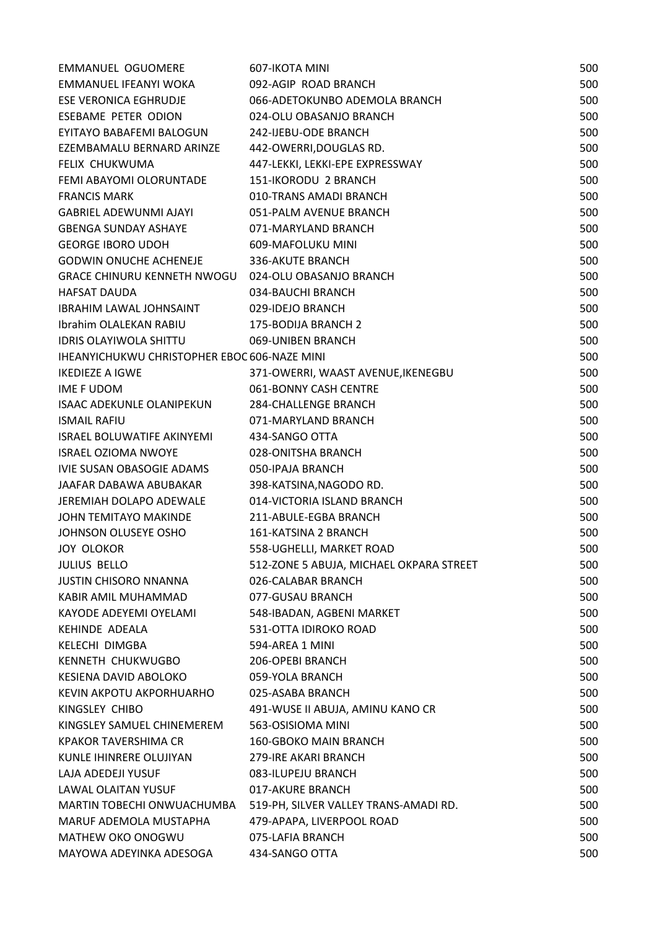| EMMANUEL OGUOMERE                                   | 607-IKOTA MINI                          | 500 |
|-----------------------------------------------------|-----------------------------------------|-----|
| EMMANUEL IFEANYI WOKA                               | 092-AGIP ROAD BRANCH                    | 500 |
| ESE VERONICA EGHRUDJE                               | 066-ADETOKUNBO ADEMOLA BRANCH           | 500 |
| ESEBAME PETER ODION                                 | 024-OLU OBASANJO BRANCH                 | 500 |
| EYITAYO BABAFEMI BALOGUN                            | 242-IJEBU-ODE BRANCH                    | 500 |
| EZEMBAMALU BERNARD ARINZE                           | 442-OWERRI, DOUGLAS RD.                 | 500 |
| FELIX CHUKWUMA                                      | 447-LEKKI, LEKKI-EPE EXPRESSWAY         | 500 |
| FEMI ABAYOMI OLORUNTADE                             | 151-IKORODU 2 BRANCH                    | 500 |
| <b>FRANCIS MARK</b>                                 | 010-TRANS AMADI BRANCH                  | 500 |
| GABRIEL ADEWUNMI AJAYI                              | 051-PALM AVENUE BRANCH                  | 500 |
| GBENGA SUNDAY ASHAYE                                | 071-MARYLAND BRANCH                     | 500 |
| <b>GEORGE IBORO UDOH</b>                            | 609-MAFOLUKU MINI                       | 500 |
| <b>GODWIN ONUCHE ACHENEJE</b>                       | 336-AKUTE BRANCH                        | 500 |
| GRACE CHINURU KENNETH NWOGU 024-OLU OBASANJO BRANCH |                                         | 500 |
| <b>HAFSAT DAUDA</b>                                 | 034-BAUCHI BRANCH                       | 500 |
| IBRAHIM LAWAL JOHNSAINT                             | 029-IDEJO BRANCH                        | 500 |
| Ibrahim OLALEKAN RABIU                              | 175-BODIJA BRANCH 2                     | 500 |
| IDRIS OLAYIWOLA SHITTU                              | 069-UNIBEN BRANCH                       | 500 |
| IHEANYICHUKWU CHRISTOPHER EBOC 606-NAZE MINI        |                                         | 500 |
| <b>IKEDIEZE A IGWE</b>                              | 371-OWERRI, WAAST AVENUE, IKENEGBU      | 500 |
| IME F UDOM                                          | 061-BONNY CASH CENTRE                   | 500 |
| ISAAC ADEKUNLE OLANIPEKUN                           | <b>284-CHALLENGE BRANCH</b>             | 500 |
| <b>ISMAIL RAFIU</b>                                 | 071-MARYLAND BRANCH                     | 500 |
| ISRAEL BOLUWATIFE AKINYEMI                          | 434-SANGO OTTA                          | 500 |
| <b>ISRAEL OZIOMA NWOYE</b>                          | 028-ONITSHA BRANCH                      | 500 |
| IVIE SUSAN OBASOGIE ADAMS                           | 050-IPAJA BRANCH                        | 500 |
| JAAFAR DABAWA ABUBAKAR                              | 398-KATSINA, NAGODO RD.                 | 500 |
| JEREMIAH DOLAPO ADEWALE                             | 014-VICTORIA ISLAND BRANCH              | 500 |
| <b>JOHN TEMITAYO MAKINDE</b>                        | 211-ABULE-EGBA BRANCH                   | 500 |
| JOHNSON OLUSEYE OSHO                                | 161-KATSINA 2 BRANCH                    | 500 |
| JOY OLOKOR                                          | 558-UGHELLI, MARKET ROAD                | 500 |
| <b>JULIUS BELLO</b>                                 | 512-ZONE 5 ABUJA, MICHAEL OKPARA STREET | 500 |
| <b>JUSTIN CHISORO NNANNA</b>                        | 026-CALABAR BRANCH                      | 500 |
| KABIR AMIL MUHAMMAD                                 | 077-GUSAU BRANCH                        | 500 |
| KAYODE ADEYEMI OYELAMI                              | 548-IBADAN, AGBENI MARKET               | 500 |
| <b>KEHINDE ADEALA</b>                               | 531-OTTA IDIROKO ROAD                   | 500 |
| <b>KELECHI DIMGBA</b>                               | 594-AREA 1 MINI                         | 500 |
| KENNETH CHUKWUGBO                                   | 206-OPEBI BRANCH                        | 500 |
| KESIENA DAVID ABOLOKO                               | 059-YOLA BRANCH                         | 500 |
| KEVIN AKPOTU AKPORHUARHO                            | 025-ASABA BRANCH                        | 500 |
| KINGSLEY CHIBO                                      | 491-WUSE II ABUJA, AMINU KANO CR        | 500 |
| KINGSLEY SAMUEL CHINEMEREM                          | 563-OSISIOMA MINI                       | 500 |
| KPAKOR TAVERSHIMA CR                                | <b>160-GBOKO MAIN BRANCH</b>            | 500 |
| KUNLE IHINRERE OLUJIYAN                             | 279-IRE AKARI BRANCH                    | 500 |
| LAJA ADEDEJI YUSUF                                  | 083-ILUPEJU BRANCH                      | 500 |
| LAWAL OLAITAN YUSUF                                 | 017-AKURE BRANCH                        | 500 |
| MARTIN TOBECHI ONWUACHUMBA                          | 519-PH, SILVER VALLEY TRANS-AMADI RD.   | 500 |
| MARUF ADEMOLA MUSTAPHA                              | 479-APAPA, LIVERPOOL ROAD               | 500 |
| MATHEW OKO ONOGWU                                   | 075-LAFIA BRANCH                        | 500 |
| MAYOWA ADEYINKA ADESOGA                             | 434-SANGO OTTA                          | 500 |
|                                                     |                                         |     |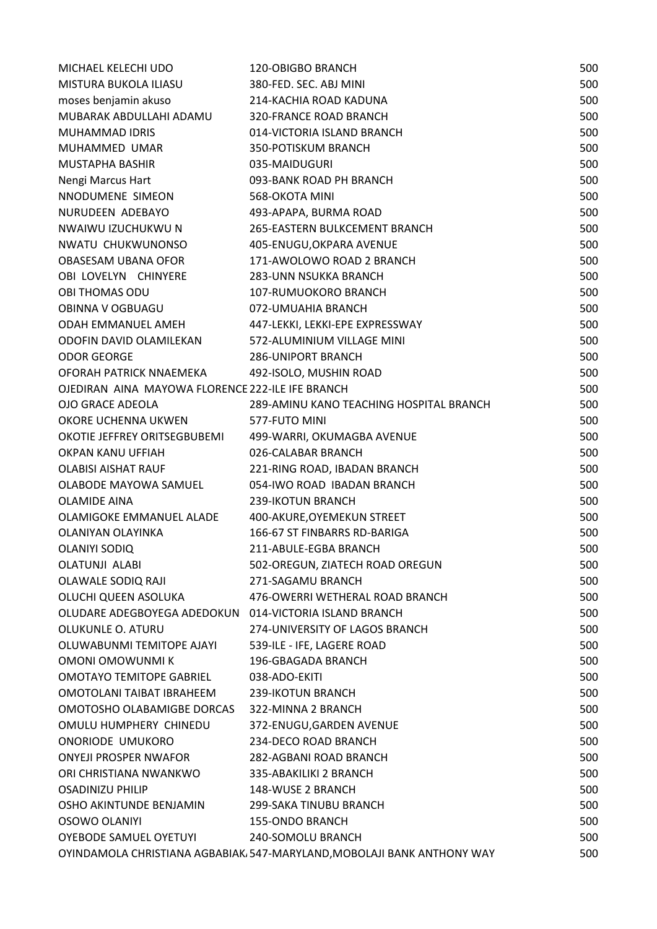| MICHAEL KELECHI UDO                                    | <b>120-OBIGBO BRANCH</b>                                                | 500 |
|--------------------------------------------------------|-------------------------------------------------------------------------|-----|
| MISTURA BUKOLA ILIASU                                  | 380-FED. SEC. ABJ MINI                                                  | 500 |
| moses benjamin akuso                                   | 214-KACHIA ROAD KADUNA                                                  | 500 |
| MUBARAK ABDULLAHI ADAMU                                | <b>320-FRANCE ROAD BRANCH</b>                                           | 500 |
| <b>MUHAMMAD IDRIS</b>                                  | 014-VICTORIA ISLAND BRANCH                                              | 500 |
| MUHAMMED UMAR                                          | 350-POTISKUM BRANCH                                                     | 500 |
| MUSTAPHA BASHIR                                        | 035-MAIDUGURI                                                           | 500 |
| Nengi Marcus Hart                                      | 093-BANK ROAD PH BRANCH                                                 | 500 |
| NNODUMENE SIMEON                                       | 568-OKOTA MINI                                                          | 500 |
| NURUDEEN ADEBAYO                                       | 493-APAPA, BURMA ROAD                                                   | 500 |
| NWAIWU IZUCHUKWU N                                     | 265-EASTERN BULKCEMENT BRANCH                                           | 500 |
| NWATU CHUKWUNONSO                                      | 405-ENUGU, OKPARA AVENUE                                                | 500 |
| OBASESAM UBANA OFOR                                    | 171-AWOLOWO ROAD 2 BRANCH                                               | 500 |
| OBI LOVELYN CHINYERE                                   | <b>283-UNN NSUKKA BRANCH</b>                                            | 500 |
| <b>OBI THOMAS ODU</b>                                  | 107-RUMUOKORO BRANCH                                                    | 500 |
| OBINNA V OGBUAGU                                       | 072-UMUAHIA BRANCH                                                      | 500 |
| ODAH EMMANUEL AMEH                                     | 447-LEKKI, LEKKI-EPE EXPRESSWAY                                         | 500 |
| ODOFIN DAVID OLAMILEKAN                                | 572-ALUMINIUM VILLAGE MINI                                              | 500 |
| <b>ODOR GEORGE</b>                                     | <b>286-UNIPORT BRANCH</b>                                               | 500 |
| OFORAH PATRICK NNAEMEKA                                | 492-ISOLO, MUSHIN ROAD                                                  | 500 |
| OJEDIRAN AINA MAYOWA FLORENCE 222-ILE IFE BRANCH       |                                                                         | 500 |
| OJO GRACE ADEOLA                                       | 289-AMINU KANO TEACHING HOSPITAL BRANCH                                 | 500 |
| OKORE UCHENNA UKWEN                                    | 577-FUTO MINI                                                           | 500 |
| OKOTIE JEFFREY ORITSEGBUBEMI                           | 499-WARRI, OKUMAGBA AVENUE                                              | 500 |
| OKPAN KANU UFFIAH                                      | 026-CALABAR BRANCH                                                      | 500 |
| <b>OLABISI AISHAT RAUF</b>                             | 221-RING ROAD, IBADAN BRANCH                                            | 500 |
| OLABODE MAYOWA SAMUEL                                  | 054-IWO ROAD IBADAN BRANCH                                              | 500 |
| <b>OLAMIDE AINA</b>                                    | 239-IKOTUN BRANCH                                                       | 500 |
| OLAMIGOKE EMMANUEL ALADE                               | 400-AKURE, OYEMEKUN STREET                                              | 500 |
| OLANIYAN OLAYINKA                                      | 166-67 ST FINBARRS RD-BARIGA                                            | 500 |
| OLANIYI SODIQ                                          | 211-ABULE-EGBA BRANCH                                                   | 500 |
| <b>OLATUNJI ALABI</b>                                  | 502-OREGUN, ZIATECH ROAD OREGUN                                         | 500 |
| OLAWALE SODIQ RAJI                                     | 271-SAGAMU BRANCH                                                       | 500 |
| OLUCHI QUEEN ASOLUKA                                   | 476-OWERRI WETHERAL ROAD BRANCH                                         | 500 |
| OLUDARE ADEGBOYEGA ADEDOKUN 014-VICTORIA ISLAND BRANCH |                                                                         | 500 |
| <b>OLUKUNLE O. ATURU</b>                               | 274-UNIVERSITY OF LAGOS BRANCH                                          | 500 |
| OLUWABUNMI TEMITOPE AJAYI                              | 539-ILE - IFE, LAGERE ROAD                                              | 500 |
| OMONI OMOWUNMI K                                       | 196-GBAGADA BRANCH                                                      | 500 |
| <b>OMOTAYO TEMITOPE GABRIEL</b>                        | 038-ADO-EKITI                                                           | 500 |
| OMOTOLANI TAIBAT IBRAHEEM                              | 239-IKOTUN BRANCH                                                       | 500 |
| OMOTOSHO OLABAMIGBE DORCAS                             | 322-MINNA 2 BRANCH                                                      | 500 |
| OMULU HUMPHERY CHINEDU                                 | 372-ENUGU, GARDEN AVENUE                                                | 500 |
| ONORIODE UMUKORO                                       | 234-DECO ROAD BRANCH                                                    | 500 |
| <b>ONYEJI PROSPER NWAFOR</b>                           | 282-AGBANI ROAD BRANCH                                                  | 500 |
| ORI CHRISTIANA NWANKWO                                 | 335-ABAKILIKI 2 BRANCH                                                  | 500 |
| <b>OSADINIZU PHILIP</b>                                | 148-WUSE 2 BRANCH                                                       | 500 |
| OSHO AKINTUNDE BENJAMIN                                | 299-SAKA TINUBU BRANCH                                                  | 500 |
| OSOWO OLANIYI                                          | 155-ONDO BRANCH                                                         | 500 |
| <b>OYEBODE SAMUEL OYETUYI</b>                          | 240-SOMOLU BRANCH                                                       | 500 |
|                                                        | OYINDAMOLA CHRISTIANA AGBABIAK, 547-MARYLAND, MOBOLAJI BANK ANTHONY WAY | 500 |
|                                                        |                                                                         |     |